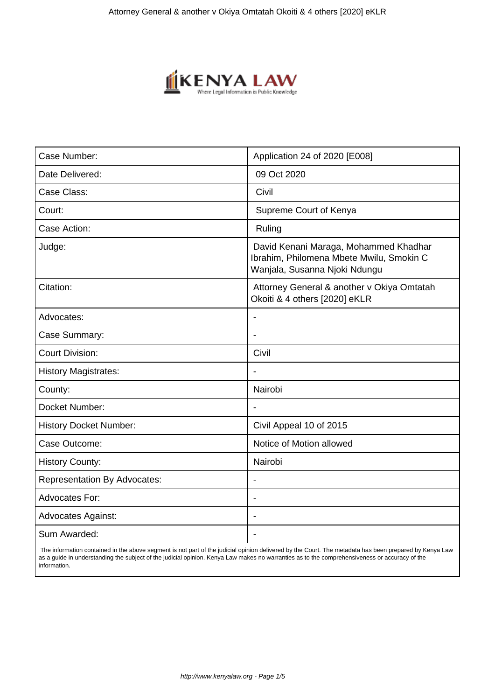

| Case Number:                        | Application 24 of 2020 [E008]                                                                                      |
|-------------------------------------|--------------------------------------------------------------------------------------------------------------------|
| Date Delivered:                     | 09 Oct 2020                                                                                                        |
| Case Class:                         | Civil                                                                                                              |
| Court:                              | Supreme Court of Kenya                                                                                             |
| Case Action:                        | Ruling                                                                                                             |
| Judge:                              | David Kenani Maraga, Mohammed Khadhar<br>Ibrahim, Philomena Mbete Mwilu, Smokin C<br>Wanjala, Susanna Njoki Ndungu |
| Citation:                           | Attorney General & another v Okiya Omtatah<br>Okoiti & 4 others [2020] eKLR                                        |
| Advocates:                          | $\overline{a}$                                                                                                     |
| Case Summary:                       |                                                                                                                    |
| <b>Court Division:</b>              | Civil                                                                                                              |
| <b>History Magistrates:</b>         | $\overline{\phantom{a}}$                                                                                           |
| County:                             | Nairobi                                                                                                            |
| Docket Number:                      |                                                                                                                    |
| <b>History Docket Number:</b>       | Civil Appeal 10 of 2015                                                                                            |
| Case Outcome:                       | Notice of Motion allowed                                                                                           |
| <b>History County:</b>              | Nairobi                                                                                                            |
| <b>Representation By Advocates:</b> |                                                                                                                    |
| <b>Advocates For:</b>               | $\overline{\phantom{a}}$                                                                                           |
| <b>Advocates Against:</b>           | $\blacksquare$                                                                                                     |
| Sum Awarded:                        |                                                                                                                    |

 The information contained in the above segment is not part of the judicial opinion delivered by the Court. The metadata has been prepared by Kenya Law as a guide in understanding the subject of the judicial opinion. Kenya Law makes no warranties as to the comprehensiveness or accuracy of the information.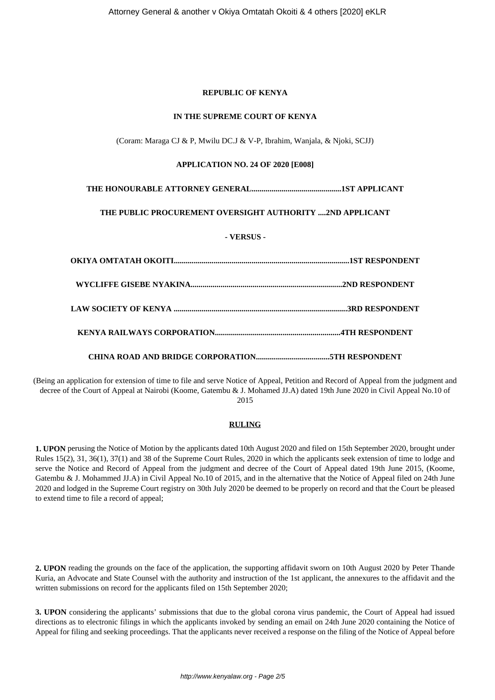# **REPUBLIC OF KENYA**

#### **IN THE SUPREME COURT OF KENYA**

(Coram: Maraga CJ & P, Mwilu DC.J & V-P, Ibrahim, Wanjala, & Njoki, SCJJ)

#### **APPLICATION NO. 24 OF 2020 [E008]**

# **THE HONOURABLE ATTORNEY GENERAL.............................................1ST APPLICANT**

# **THE PUBLIC PROCUREMENT OVERSIGHT AUTHORITY ....2ND APPLICANT**

# **- VERSUS -**

(Being an application for extension of time to file and serve Notice of Appeal, Petition and Record of Appeal from the judgment and decree of the Court of Appeal at Nairobi (Koome, Gatembu & J. Mohamed JJ.A) dated 19th June 2020 in Civil Appeal No.10 of 2015

# **RULING**

**1. UPON** perusing the Notice of Motion by the applicants dated 10th August 2020 and filed on 15th September 2020, brought under Rules 15(2), 31, 36(1), 37(1) and 38 of the Supreme Court Rules, 2020 in which the applicants seek extension of time to lodge and serve the Notice and Record of Appeal from the judgment and decree of the Court of Appeal dated 19th June 2015, (Koome, Gatembu & J. Mohammed JJ.A) in Civil Appeal No.10 of 2015, and in the alternative that the Notice of Appeal filed on 24th June 2020 and lodged in the Supreme Court registry on 30th July 2020 be deemed to be properly on record and that the Court be pleased to extend time to file a record of appeal;

**2. UPON** reading the grounds on the face of the application, the supporting affidavit sworn on 10th August 2020 by Peter Thande Kuria, an Advocate and State Counsel with the authority and instruction of the 1st applicant, the annexures to the affidavit and the written submissions on record for the applicants filed on 15th September 2020;

**3. UPON** considering the applicants' submissions that due to the global corona virus pandemic, the Court of Appeal had issued directions as to electronic filings in which the applicants invoked by sending an email on 24th June 2020 containing the Notice of Appeal for filing and seeking proceedings. That the applicants never received a response on the filing of the Notice of Appeal before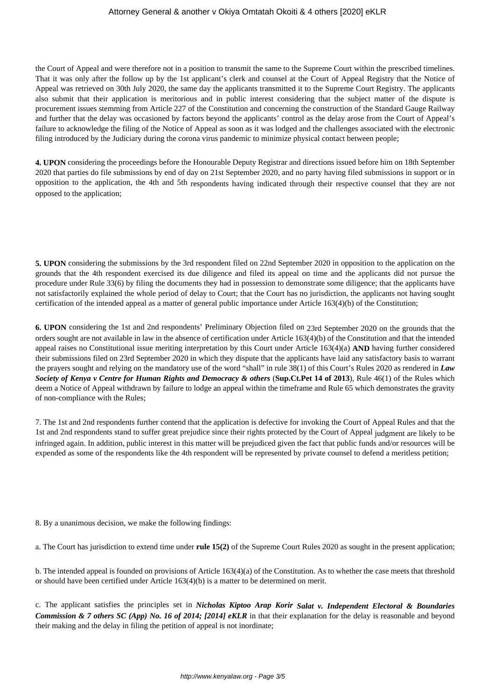# Attorney General & another v Okiya Omtatah Okoiti & 4 others [2020] eKLR

the Court of Appeal and were therefore not in a position to transmit the same to the Supreme Court within the prescribed timelines. That it was only after the follow up by the 1st applicant's clerk and counsel at the Court of Appeal Registry that the Notice of Appeal was retrieved on 30th July 2020, the same day the applicants transmitted it to the Supreme Court Registry. The applicants also submit that their application is meritorious and in public interest considering that the subject matter of the dispute is procurement issues stemming from Article 227 of the Constitution and concerning the construction of the Standard Gauge Railway and further that the delay was occasioned by factors beyond the applicants' control as the delay arose from the Court of Appeal's failure to acknowledge the filing of the Notice of Appeal as soon as it was lodged and the challenges associated with the electronic filing introduced by the Judiciary during the corona virus pandemic to minimize physical contact between people;

**4. UPON** considering the proceedings before the Honourable Deputy Registrar and directions issued before him on 18th September 2020 that parties do file submissions by end of day on 21st September 2020, and no party having filed submissions in support or in opposition to the application, the 4th and 5th respondents having indicated through their respective counsel that they are not opposed to the application;

**5. UPON** considering the submissions by the 3rd respondent filed on 22nd September 2020 in opposition to the application on the grounds that the 4th respondent exercised its due diligence and filed its appeal on time and the applicants did not pursue the procedure under Rule 33(6) by filing the documents they had in possession to demonstrate some diligence; that the applicants have not satisfactorily explained the whole period of delay to Court; that the Court has no jurisdiction, the applicants not having sought certification of the intended appeal as a matter of general public importance under Article 163(4)(b) of the Constitution;

**6. UPON** considering the 1st and 2nd respondents' Preliminary Objection filed on 23rd September 2020 on the grounds that the orders sought are not available in law in the absence of certification under Article 163(4)(b) of the Constitution and that the intended appeal raises no Constitutional issue meriting interpretation by this Court under Article 163(4)(a) **AND** having further considered their submissions filed on 23rd September 2020 in which they dispute that the applicants have laid any satisfactory basis to warrant the prayers sought and relying on the mandatory use of the word "shall" in rule 38(1) of this Court's Rules 2020 as rendered in *Law Society of Kenya v Centre for Human Rights and Democracy & others* (**Sup.Ct.Pet 14 of 2013**), Rule 46(1) of the Rules which deem a Notice of Appeal withdrawn by failure to lodge an appeal within the timeframe and Rule 65 which demonstrates the gravity of non-compliance with the Rules;

7. The 1st and 2nd respondents further contend that the application is defective for invoking the Court of Appeal Rules and that the 1st and 2nd respondents stand to suffer great prejudice since their rights protected by the Court of Appeal judgment are likely to be infringed again. In addition, public interest in this matter will be prejudiced given the fact that public funds and/or resources will be expended as some of the respondents like the 4th respondent will be represented by private counsel to defend a meritless petition;

8. By a unanimous decision, we make the following findings:

a. The Court has jurisdiction to extend time under **rule 15(2)** of the Supreme Court Rules 2020 as sought in the present application;

b. The intended appeal is founded on provisions of Article 163(4)(a) of the Constitution. As to whether the case meets that threshold or should have been certified under Article 163(4)(b) is a matter to be determined on merit.

c. The applicant satisfies the principles set in *Nicholas Kiptoo Arap Korir Salat v. Independent Electoral & Boundaries Commission & 7 others SC (App) No. 16 of 2014; [2014] eKLR* in that their explanation for the delay is reasonable and beyond their making and the delay in filing the petition of appeal is not inordinate;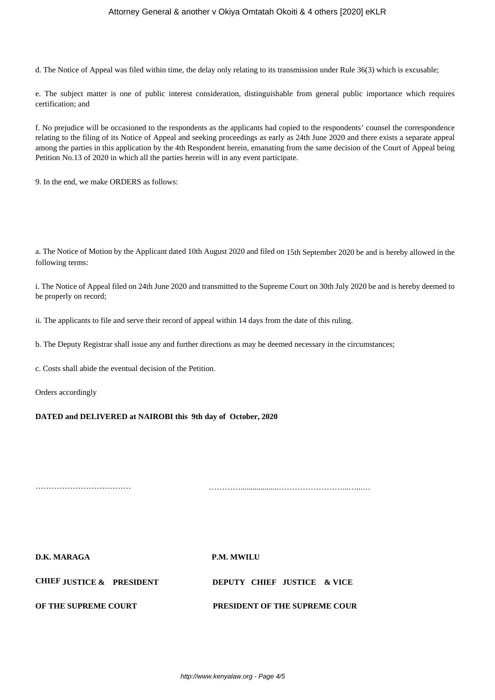# Attorney General & another v Okiya Omtatah Okoiti & 4 others [2020] eKLR

d. The Notice of Appeal was filed within time, the delay only relating to its transmission under Rule 36(3) which is excusable;

e. The subject matter is one of public interest consideration, distinguishable from general public importance which requires certification; and

f. No prejudice will be occasioned to the respondents as the applicants had copied to the respondents' counsel the correspondence relating to the filing of its Notice of Appeal and seeking proceedings as early as 24th June 2020 and there exists a separate appeal among the parties in this application by the 4th Respondent herein, emanating from the same decision of the Court of Appeal being Petition No.13 of 2020 in which all the parties herein will in any event participate.

9. In the end, we make ORDERS as follows:

a. The Notice of Motion by the Applicant dated 10th August 2020 and filed on 15th September 2020 be and is hereby allowed in the following terms:

i. The Notice of Appeal filed on 24th June 2020 and transmitted to the Supreme Court on 30th July 2020 be and is hereby deemed to be properly on record;

ii. The applicants to file and serve their record of appeal within 14 days from the date of this ruling.

b. The Deputy Registrar shall issue any and further directions as may be deemed necessary in the circumstances;

c. Costs shall abide the eventual decision of the Petition.

Orders accordingly

**DATED and DELIVERED at NAIROBI this 9th day of October, 2020**

……………………………… …………...................……………………...…...…

**D.K. MARAGA P.M. MWILU CHIEF JUSTICE & PRESIDENT DEPUTY CHIEF JUSTICE & VICE OF THE SUPREME COURT PRESIDENT OF THE SUPREME COUR**